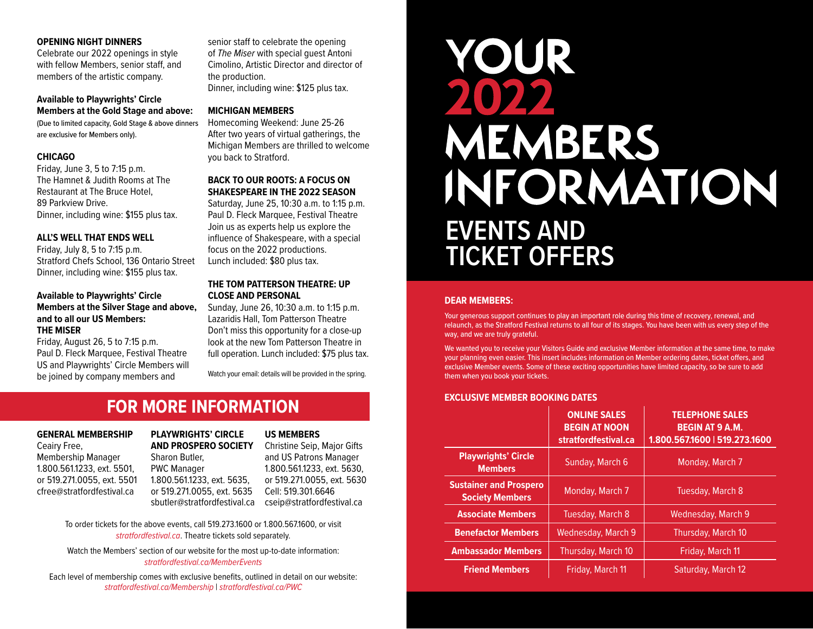#### **OPENING NIGHT DINNERS**

Celebrate our 2022 openings in style with fellow Members, senior staff, and members of the artistic company.

#### **Available to Playwrights' Circle Members at the Gold Stage and above:**

(Due to limited capacity, Gold Stage & above dinners are exclusive for Members only).

# **CHICAGO**

Friday, June 3, 5 to 7:15 p.m. The Hamnet & Judith Rooms at The Restaurant at The Bruce Hotel, 89 Parkview Drive. Dinner, including wine: \$155 plus tax.

# **ALL'S WELL THAT ENDS WELL**

Friday, July 8, 5 to 7:15 p.m. Stratford Chefs School, 136 Ontario Street Dinner, including wine: \$155 plus tax.

#### **Available to Playwrights' Circle Members at the Silver Stage and above, and to all our US Members: THE MISER**

Friday, August 26, 5 to 7:15 p.m. Paul D. Fleck Marquee, Festival Theatre US and Playwrights' Circle Members will be joined by company members and

senior staff to celebrate the opening of *The Miser* with special guest Antoni Cimolino, Artistic Director and director of the production. Dinner, including wine: \$125 plus tax.

# **MICHIGAN MEMBERS**

Homecoming Weekend: June 25-26 After two years of virtual gatherings, the Michigan Members are thrilled to welcome you back to Stratford.

#### **BACK TO OUR ROOTS: A FOCUS ON SHAKESPEARE IN THE 2022 SEASON**

Saturday, June 25, 10:30 a.m. to 1:15 p.m. Paul D. Fleck Marquee, Festival Theatre Join us as experts help us explore the influence of Shakespeare, with a special focus on the 2022 productions. Lunch included: \$80 plus tax.

#### **THE TOM PATTERSON THEATRE: UP CLOSE AND PERSONAL**

Sunday, June 26, 10:30 a.m. to 1:15 p.m. Lazaridis Hall, Tom Patterson Theatre Don't miss this opportunity for a close-up look at the new Tom Patterson Theatre in full operation. Lunch included: \$75 plus tax.

Watch your email: details will be provided in the spring.

# **FOR MORE INFORMATION**

# **GENERAL MEMBERSHIP**

Ceairy Free, Membership Manager 1.800.561.1233, ext. 5501, or 519.271.0055, ext. 5501 [cfree@stratfordfestival.ca](mailto:cfree%40stratfordfestival.ca?subject=)

# **PLAYWRIGHTS' CIRCLE AND PROSPERO SOCIETY**

Sharon Butler, PWC Manager 1.800.561.1233, ext. 5635, or 519.271.0055, ext. 5635 [sbutler@stratfordfestival.ca](mailto:sbutler%40stratfordfestival.ca?subject=)

#### **US MEMBERS**

Christine Seip, Major Gifts and US Patrons Manager 1.800.561.1233, ext. 5630, or 519.271.0055, ext. 5630 Cell: 519.301.6646 [cseip@stratfordfestival.ca](mailto:cseip%40stratfordfestival.ca?subject=)

To order tickets for the above events, call 519.273.1600 or 1.800.567.1600, or visit *[stratfordfestival.ca](http://stratfordfestival.ca)*. Theatre tickets sold separately.

Watch the Members' section of our website for the most up-to-date information: *[stratfordfestival.ca/MemberEvents](http://stratfordfestival.ca/MemberEvents )*

Each level of m[embership comes with exclusive b](http://stratfordfestival.ca/Membership)[enefits, outlined in detail](http://stratfordfestival.ca/PWC) on our website: *stratfordfestival.ca/Membership* | *stratfordfestival.ca/PWC*

# YOUR **MEMBERS** INFORMATION **EVENTS AND TICKET OFFERS**

#### **DEAR MEMBERS:**

Your generous support continues to play an important role during this time of recovery, renewal, and relaunch, as the Stratford Festival returns to all four of its stages. You have been with us every step of the way, and we are truly grateful.

We wanted you to receive your Visitors Guide and exclusive Member information at the same time, to make your planning even easier. This insert includes information on Member ordering dates, ticket offers, and exclusive Member events. Some of these exciting opportunities have limited capacity, so be sure to add them when you book your tickets.

# **EXCLUSIVE MEMBER BOOKING DATES**

|                                                         | <b>ONLINE SALES</b><br><b>BEGIN AT NOON</b><br>stratfordfestival.ca | <b>TELEPHONE SALES</b><br><b>BEGIN AT 9 A.M.</b><br>1.800.567.1600   519.273.1600 |
|---------------------------------------------------------|---------------------------------------------------------------------|-----------------------------------------------------------------------------------|
| <b>Playwrights' Circle</b><br><b>Members</b>            | Sunday, March 6                                                     | Monday, March 7                                                                   |
| <b>Sustainer and Prospero</b><br><b>Society Members</b> | Monday, March 7                                                     | Tuesday, March 8                                                                  |
| <b>Associate Members</b>                                | <b>Tuesday, March 8</b>                                             | Wednesday, March 9                                                                |
| <b>Benefactor Members</b>                               | Wednesday, March 9                                                  | Thursday, March 10                                                                |
| <b>Ambassador Members</b>                               | Thursday, March 10                                                  | Friday, March 11                                                                  |
| <b>Friend Members</b>                                   | Friday, March 11                                                    | Saturday, March 12                                                                |